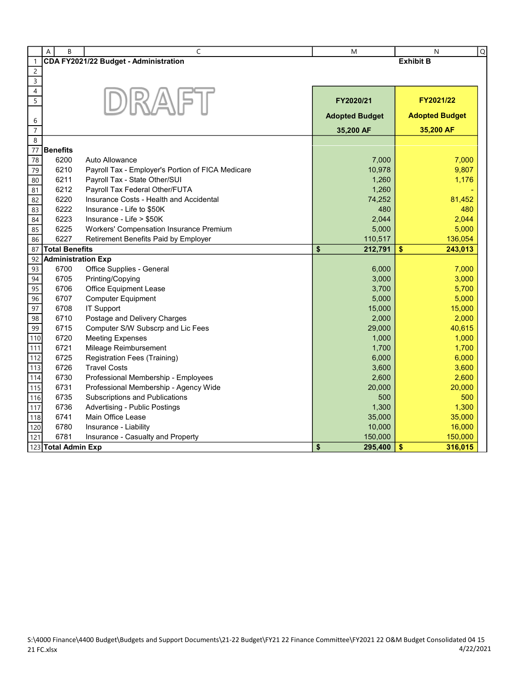|                      | B<br>A                    | C                                                 | M                     | $\mathsf Q$<br>N      |
|----------------------|---------------------------|---------------------------------------------------|-----------------------|-----------------------|
| $\mathbf{1}$         |                           | CDA FY2021/22 Budget - Administration             |                       | <b>Exhibit B</b>      |
| $\sqrt{2}$           |                           |                                                   |                       |                       |
| 3                    |                           |                                                   |                       |                       |
| 4                    |                           |                                                   |                       |                       |
| 5                    |                           | DRAFT                                             | FY2020/21             | FY2021/22             |
|                      |                           |                                                   | <b>Adopted Budget</b> | <b>Adopted Budget</b> |
| 6                    |                           |                                                   |                       |                       |
| $\overline{7}$       |                           |                                                   | 35,200 AF             | 35,200 AF             |
| 8<br>$\overline{77}$ | <b>Benefits</b>           |                                                   |                       |                       |
|                      | 6200                      | Auto Allowance                                    | 7,000                 | 7,000                 |
| 78<br>79             | 6210                      | Payroll Tax - Employer's Portion of FICA Medicare | 10,978                | 9,807                 |
| 80                   | 6211                      | Payroll Tax - State Other/SUI                     | 1,260                 | 1,176                 |
| 81                   | 6212                      | Payroll Tax Federal Other/FUTA                    | 1,260                 |                       |
| 82                   | 6220                      | Insurance Costs - Health and Accidental           | 74,252                | 81,452                |
| 83                   | 6222                      | Insurance - Life to \$50K                         | 480                   | 480                   |
| 84                   | 6223                      | Insurance - Life > \$50K                          | 2,044                 | 2,044                 |
| 85                   | 6225                      | Workers' Compensation Insurance Premium           | 5,000                 | 5,000                 |
| 86                   | 6227                      | Retirement Benefits Paid by Employer              | 110,517               | 136,054               |
| 87                   | <b>Total Benefits</b>     |                                                   | \$<br>212,791         | \$<br>243,013         |
| 92                   | <b>Administration Exp</b> |                                                   |                       |                       |
| 93                   | 6700                      | Office Supplies - General                         | 6,000                 | 7,000                 |
| 94                   | 6705                      | Printing/Copying                                  | 3,000                 | 3,000                 |
| 95                   | 6706                      | Office Equipment Lease                            | 3,700                 | 5,700                 |
| 96                   | 6707                      | <b>Computer Equipment</b>                         | 5,000                 | 5,000                 |
| 97                   | 6708                      | <b>IT Support</b>                                 | 15,000                | 15,000                |
| 98                   | 6710                      | Postage and Delivery Charges                      | 2,000                 | 2,000                 |
| 99                   | 6715                      | Computer S/W Subscrp and Lic Fees                 | 29,000                | 40,615                |
| 110                  | 6720                      | <b>Meeting Expenses</b>                           | 1,000                 | 1,000                 |
| 111                  | 6721                      | Mileage Reimbursement                             | 1,700                 | 1,700                 |
| 112                  | 6725                      | Registration Fees (Training)                      | 6,000                 | 6,000                 |
| 113                  | 6726                      | <b>Travel Costs</b>                               | 3,600                 | 3,600                 |
| 114                  | 6730                      | Professional Membership - Employees               | 2,600                 | 2,600                 |
| 115                  | 6731                      | Professional Membership - Agency Wide             | 20,000                | 20,000                |
| 116                  | 6735                      | Subscriptions and Publications                    | 500                   | 500                   |
| 117                  | 6736                      | <b>Advertising - Public Postings</b>              | 1,300                 | 1,300                 |
| 118                  | 6741                      | Main Office Lease                                 | 35,000                | 35,000                |
| 120                  | 6780                      | Insurance - Liability                             | 10,000                | 16,000                |
| 121                  | 6781                      | Insurance - Casualty and Property                 | 150,000               | 150,000               |
|                      | 123 Total Admin Exp       |                                                   | \$<br>295,400         | \$<br>316,015         |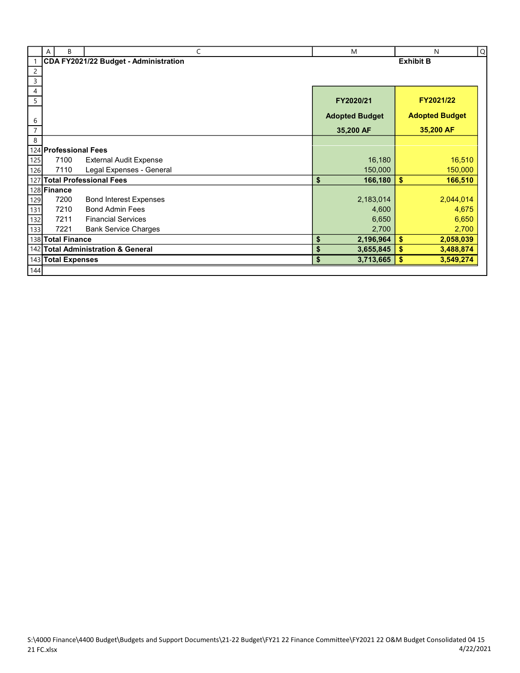|                | B<br>A                | C                                     |                  | M                     |          | ${\sf Q}$<br>N        |  |
|----------------|-----------------------|---------------------------------------|------------------|-----------------------|----------|-----------------------|--|
|                |                       | CDA FY2021/22 Budget - Administration | <b>Exhibit B</b> |                       |          |                       |  |
| $\overline{2}$ |                       |                                       |                  |                       |          |                       |  |
| $\mathsf 3$    |                       |                                       |                  |                       |          |                       |  |
| 4              |                       |                                       |                  |                       |          |                       |  |
| 5              |                       |                                       |                  | FY2020/21             |          | FY2021/22             |  |
| 6              |                       |                                       |                  | <b>Adopted Budget</b> |          | <b>Adopted Budget</b> |  |
| $\overline{7}$ |                       |                                       |                  | 35,200 AF             |          | 35,200 AF             |  |
| 8              |                       |                                       |                  |                       |          |                       |  |
|                | 124 Professional Fees |                                       |                  |                       |          |                       |  |
| 125            | 7100                  | <b>External Audit Expense</b>         |                  | 16,180                |          | 16,510                |  |
| 126            | 7110                  | Legal Expenses - General              |                  | 150,000               |          | 150,000               |  |
| 127            |                       | <b>Total Professional Fees</b>        | \$               | 166,180               | \$       | 166,510               |  |
|                | 128 Finance           |                                       |                  |                       |          |                       |  |
| 129            | 7200                  | <b>Bond Interest Expenses</b>         |                  | 2,183,014             |          | 2,044,014             |  |
| 131            | 7210                  | <b>Bond Admin Fees</b>                |                  | 4,600                 |          | 4,675                 |  |
| 132            | 7211                  | <b>Financial Services</b>             |                  | 6,650                 |          | 6,650                 |  |
| 133            | 7221                  | <b>Bank Service Charges</b>           |                  | 2,700                 |          | 2,700                 |  |
|                | 138 Total Finance     |                                       | \$               | 2,196,964             | \$       | 2,058,039             |  |
|                |                       | 142 Total Administration & General    | \$               | 3,655,845             | \$       | 3,488,874             |  |
|                | 143 Total Expenses    |                                       | \$               | 3,713,665             | <b>S</b> | 3,549,274             |  |
| 144            |                       |                                       |                  |                       |          |                       |  |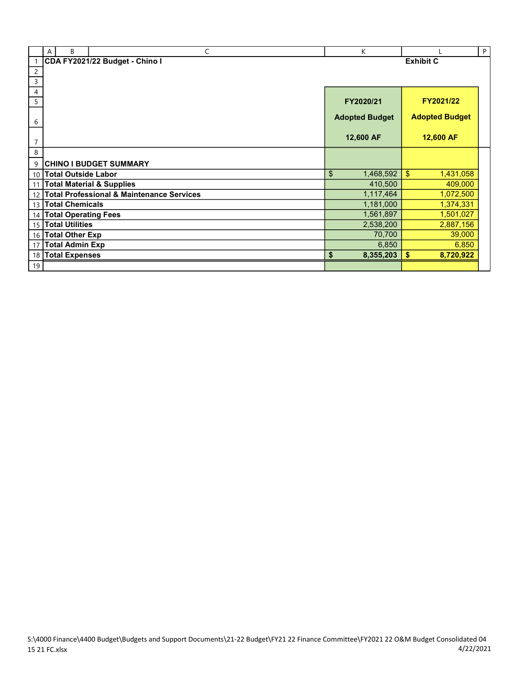|                 | B<br>A                      | C                                                    | K                     |                       | P |  |
|-----------------|-----------------------------|------------------------------------------------------|-----------------------|-----------------------|---|--|
|                 |                             | CDA FY2021/22 Budget - Chino I                       | <b>Exhibit C</b>      |                       |   |  |
| $\overline{c}$  |                             |                                                      |                       |                       |   |  |
| 3               |                             |                                                      |                       |                       |   |  |
| 4               |                             |                                                      |                       |                       |   |  |
| 5               |                             |                                                      | FY2020/21             | FY2021/22             |   |  |
|                 |                             |                                                      | <b>Adopted Budget</b> | <b>Adopted Budget</b> |   |  |
| 6               |                             |                                                      |                       |                       |   |  |
|                 |                             |                                                      | 12,600 AF             | 12,600 AF             |   |  |
| $\overline{7}$  |                             |                                                      |                       |                       |   |  |
| 8               |                             |                                                      |                       |                       |   |  |
| 9               |                             | <b>CHINO I BUDGET SUMMARY</b>                        |                       |                       |   |  |
| 10              | <b>Total Outside Labor</b>  |                                                      | \$<br>1,468,592       | \$<br>1,431,058       |   |  |
| 11              |                             | <b>Total Material &amp; Supplies</b>                 | 410,500               | 409,000               |   |  |
| 12              |                             | <b>Total Professional &amp; Maintenance Services</b> | 1,117,464             | 1,072,500             |   |  |
| 13 <sup>1</sup> | <b>Total Chemicals</b>      |                                                      | 1,181,000             | 1,374,331             |   |  |
| 14              | <b>Total Operating Fees</b> |                                                      | 1,561,897             | 1,501,027             |   |  |
| 15              | <b>Total Utilities</b>      |                                                      | 2,538,200             | 2,887,156             |   |  |
|                 | 16 Total Other Exp          |                                                      | 70,700                | 39,000                |   |  |
| 17              | <b>Total Admin Exp</b>      |                                                      | 6,850                 | 6,850                 |   |  |
| 18              | <b>Total Expenses</b>       |                                                      | 8,355,203<br>\$       | \$<br>8,720,922       |   |  |
| 19              |                             |                                                      |                       |                       |   |  |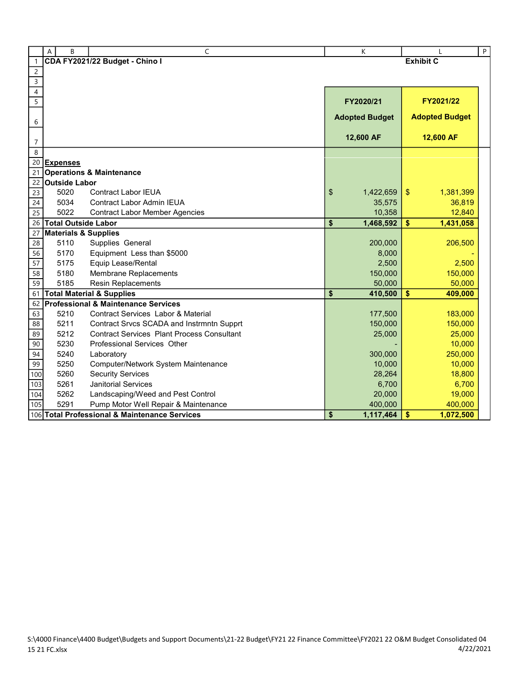|                 | B<br>Α                          | C                                                                                              | K                     |                          | $\sf P$ |
|-----------------|---------------------------------|------------------------------------------------------------------------------------------------|-----------------------|--------------------------|---------|
| $\mathbf{1}$    |                                 | CDA FY2021/22 Budget - Chino I                                                                 |                       | <b>Exhibit C</b>         |         |
| $\sqrt{2}$      |                                 |                                                                                                |                       |                          |         |
| $\overline{3}$  |                                 |                                                                                                |                       |                          |         |
| $\overline{4}$  |                                 |                                                                                                |                       |                          |         |
| $\overline{5}$  |                                 |                                                                                                | FY2020/21             | FY2021/22                |         |
|                 |                                 |                                                                                                |                       |                          |         |
| 6               |                                 |                                                                                                | <b>Adopted Budget</b> | <b>Adopted Budget</b>    |         |
|                 |                                 |                                                                                                | 12,600 AF             | 12,600 AF                |         |
| $\overline{7}$  |                                 |                                                                                                |                       |                          |         |
| 8               |                                 |                                                                                                |                       |                          |         |
| 20              | <b>Expenses</b>                 |                                                                                                |                       |                          |         |
| 21              |                                 | <b>Operations &amp; Maintenance</b>                                                            |                       |                          |         |
| 22              | <b>Outside Labor</b>            |                                                                                                |                       |                          |         |
| 23              | 5020                            | <b>Contract Labor IEUA</b>                                                                     | \$<br>1,422,659       | 1,381,399<br>\$          |         |
| 24              | 5034                            | <b>Contract Labor Admin IEUA</b>                                                               | 35,575                | 36,819                   |         |
| $\overline{25}$ | 5022                            | <b>Contract Labor Member Agencies</b>                                                          | 10,358                | 12,840                   |         |
| 26              | <b>Total Outside Labor</b>      |                                                                                                | \$<br>1,468,592       | \$<br>1,431,058          |         |
| 27              | <b>Materials &amp; Supplies</b> |                                                                                                |                       |                          |         |
| 28              | 5110                            | Supplies General                                                                               | 200,000               | 206,500                  |         |
| 56              | 5170                            | Equipment Less than \$5000                                                                     | 8,000                 |                          |         |
| 57              | 5175                            | Equip Lease/Rental                                                                             | 2,500                 | 2,500                    |         |
| 58              | 5180                            | Membrane Replacements                                                                          | 150,000               | 150,000                  |         |
| 59              | 5185                            | <b>Resin Replacements</b>                                                                      | 50,000                | 50,000                   |         |
| 61              |                                 | <b>Total Material &amp; Supplies</b>                                                           | \$<br>410,500         | $\frac{1}{2}$<br>409,000 |         |
| 62              |                                 | <b>Professional &amp; Maintenance Services</b>                                                 |                       |                          |         |
| 63              | 5210                            | <b>Contract Services Labor &amp; Material</b>                                                  | 177,500               | 183,000                  |         |
| 88              | 5211<br>5212                    | Contract Srvcs SCADA and Instrmntn Supprt<br><b>Contract Services Plant Process Consultant</b> | 150,000               | 150,000                  |         |
| 89<br>90        | 5230                            | Professional Services Other                                                                    | 25,000                | 25,000                   |         |
|                 |                                 |                                                                                                |                       | 10,000                   |         |
| 94              | 5240                            | Laboratory                                                                                     | 300,000               | 250,000                  |         |
| 99              | 5250                            | Computer/Network System Maintenance                                                            | 10,000                | 10,000                   |         |
| 100             | 5260<br>5261                    | <b>Security Services</b><br><b>Janitorial Services</b>                                         | 28,264                | 18,800                   |         |
| 103             | 5262                            |                                                                                                | 6,700                 | 6,700                    |         |
| 104             |                                 | Landscaping/Weed and Pest Control                                                              | 20,000                | 19,000                   |         |
| 105             | 5291                            | Pump Motor Well Repair & Maintenance                                                           | 400,000               | 400,000                  |         |
|                 |                                 | 106 Total Professional & Maintenance Services                                                  | \$<br>1,117,464       | 1,072,500<br>\$          |         |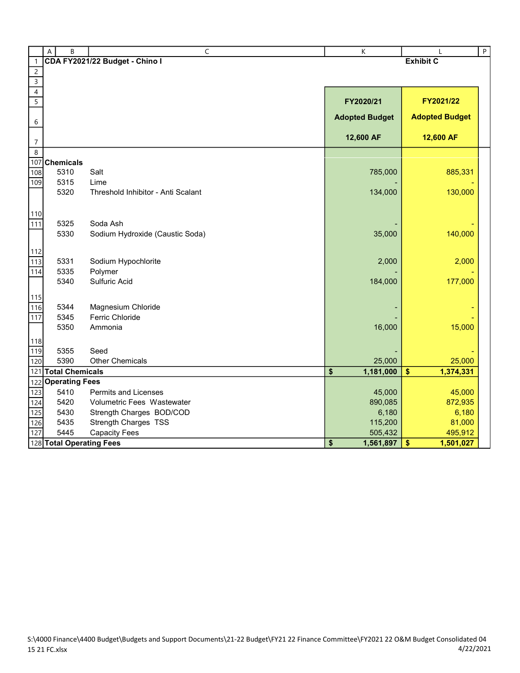|                          | B<br>$\overline{A}$      | C                                  | K                     |                       | $\sf P$ |
|--------------------------|--------------------------|------------------------------------|-----------------------|-----------------------|---------|
| $\mathbf{1}$             |                          | CDA FY2021/22 Budget - Chino I     | <b>Exhibit C</b>      |                       |         |
| $\overline{c}$           |                          |                                    |                       |                       |         |
|                          |                          |                                    |                       |                       |         |
| $\overline{\mathcal{A}}$ |                          |                                    |                       |                       |         |
| 5                        |                          |                                    | FY2020/21             | FY2021/22             |         |
| 6                        |                          |                                    | <b>Adopted Budget</b> | <b>Adopted Budget</b> |         |
|                          |                          |                                    |                       |                       |         |
| $\overline{7}$           |                          |                                    | 12,600 AF             | 12,600 AF             |         |
| $\,8\,$                  |                          |                                    |                       |                       |         |
| 107                      | <b>Chemicals</b>         |                                    |                       |                       |         |
| 108                      | 5310                     | Salt                               | 785,000               | 885,331               |         |
| 109                      | 5315                     | Lime                               |                       |                       |         |
|                          | 5320                     | Threshold Inhibitor - Anti Scalant | 134,000               | 130,000               |         |
| 110                      |                          |                                    |                       |                       |         |
| 111                      | 5325                     | Soda Ash                           |                       |                       |         |
|                          | 5330                     | Sodium Hydroxide (Caustic Soda)    | 35,000                | 140,000               |         |
|                          |                          |                                    |                       |                       |         |
| 112<br>113               | 5331                     | Sodium Hypochlorite                | 2,000                 | 2,000                 |         |
| 114                      | 5335                     | Polymer                            |                       |                       |         |
|                          | 5340                     | Sulfuric Acid                      | 184,000               | 177,000               |         |
|                          |                          |                                    |                       |                       |         |
| 115<br>116               | 5344                     | Magnesium Chloride                 |                       |                       |         |
| 117                      | 5345                     | <b>Ferric Chloride</b>             |                       |                       |         |
|                          | 5350                     | Ammonia                            | 16,000                | 15,000                |         |
| 118                      |                          |                                    |                       |                       |         |
| 119                      | 5355                     | Seed                               |                       |                       |         |
| 120                      | 5390                     | <b>Other Chemicals</b>             | 25,000                | 25,000                |         |
| 121                      | <b>Total Chemicals</b>   |                                    | 1,181,000<br>\$       | \$<br>1,374,331       |         |
| 122                      | <b>Operating Fees</b>    |                                    |                       |                       |         |
| 123                      | 5410                     | <b>Permits and Licenses</b>        | 45,000                | 45,000                |         |
| 124                      | 5420                     | Volumetric Fees Wastewater         | 890,085               | 872,935               |         |
| 125                      | 5430                     | Strength Charges BOD/COD           | 6,180                 | 6,180                 |         |
| 126                      | 5435                     | <b>Strength Charges TSS</b>        | 115,200               | 81,000                |         |
| 127                      | 5445                     | <b>Capacity Fees</b>               | 505,432               | 495,912               |         |
|                          | 128 Total Operating Fees |                                    | \$<br>1,561,897       | \$<br>1,501,027       |         |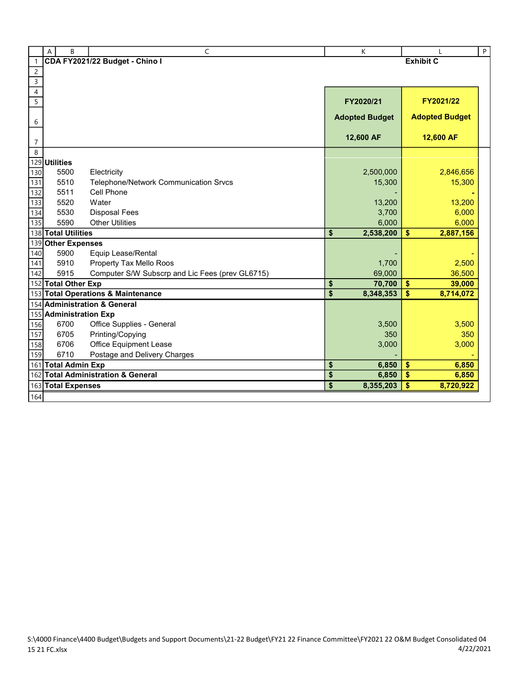|                         | B<br>Α                 | C                                               | K                     |                         |                       | P |
|-------------------------|------------------------|-------------------------------------------------|-----------------------|-------------------------|-----------------------|---|
| $\mathbf{1}$            |                        | CDA FY2021/22 Budget - Chino I                  | <b>Exhibit C</b>      |                         |                       |   |
| $\overline{c}$          |                        |                                                 |                       |                         |                       |   |
| $\overline{\mathbf{3}}$ |                        |                                                 |                       |                         |                       |   |
| $\overline{4}$          |                        |                                                 |                       |                         |                       |   |
| $\overline{5}$          |                        |                                                 | FY2020/21             |                         | FY2021/22             |   |
|                         |                        |                                                 | <b>Adopted Budget</b> |                         | <b>Adopted Budget</b> |   |
| 6                       |                        |                                                 |                       |                         |                       |   |
| $\overline{7}$          |                        |                                                 | 12,600 AF             |                         | 12,600 AF             |   |
| 8                       |                        |                                                 |                       |                         |                       |   |
| 129                     | <b>Utilities</b>       |                                                 |                       |                         |                       |   |
| 130                     | 5500                   | Electricity                                     | 2,500,000             |                         | 2,846,656             |   |
| 131                     | 5510                   | Telephone/Network Communication Srvcs           | 15,300                |                         | 15,300                |   |
| 132                     | 5511                   | Cell Phone                                      |                       |                         |                       |   |
| 133                     | 5520                   | Water                                           | 13,200                |                         | 13,200                |   |
| 134                     | 5530                   | <b>Disposal Fees</b>                            | 3,700                 |                         | 6,000                 |   |
| 135                     | 5590                   | <b>Other Utilities</b>                          | 6,000                 |                         | 6,000                 |   |
|                         | 138 Total Utilities    |                                                 | \$<br>2,538,200       | \$                      | 2,887,156             |   |
| 139                     | <b>Other Expenses</b>  |                                                 |                       |                         |                       |   |
| 140                     | 5900                   | Equip Lease/Rental                              |                       |                         |                       |   |
| 141                     | 5910                   | Property Tax Mello Roos                         | 1,700                 |                         | 2,500                 |   |
| 142                     | 5915                   | Computer S/W Subscrp and Lic Fees (prev GL6715) | 69,000                |                         | 36,500                |   |
|                         | 152 Total Other Exp    |                                                 | \$<br>70,700          | \$                      | 39,000                |   |
|                         |                        | 153 Total Operations & Maintenance              | \$<br>8,348,353       | \$                      | 8,714,072             |   |
|                         |                        | 154 Administration & General                    |                       |                         |                       |   |
|                         | 155 Administration Exp |                                                 |                       |                         |                       |   |
| 156                     | 6700                   | Office Supplies - General                       | 3,500                 |                         | 3,500                 |   |
| 157                     | 6705                   | Printing/Copying                                | 350                   |                         | 350                   |   |
| 158                     | 6706                   | Office Equipment Lease                          | 3,000                 |                         | 3,000                 |   |
| 159                     | 6710                   | Postage and Delivery Charges                    |                       |                         |                       |   |
|                         | 161 Total Admin Exp    |                                                 | \$<br>6,850           | \$                      | 6,850                 |   |
| 162                     |                        | <b>Total Administration &amp; General</b>       | \$<br>6,850           | $\overline{\mathbf{S}}$ | 6,850                 |   |
|                         | 163 Total Expenses     |                                                 | \$<br>8,355,203       | \$                      | 8,720,922             |   |
| 164                     |                        |                                                 |                       |                         |                       |   |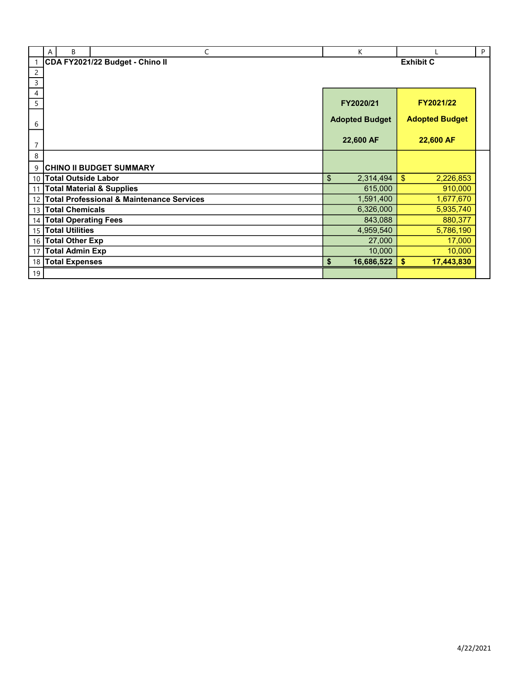|                | B<br>A                      | C                                                    | K                     |                             | P |
|----------------|-----------------------------|------------------------------------------------------|-----------------------|-----------------------------|---|
|                |                             | CDA FY2021/22 Budget - Chino II                      |                       | <b>Exhibit C</b>            |   |
| $\overline{c}$ |                             |                                                      |                       |                             |   |
| 3              |                             |                                                      |                       |                             |   |
| 4              |                             |                                                      |                       |                             |   |
| 5              |                             |                                                      | FY2020/21             | FY2021/22                   |   |
|                |                             |                                                      | <b>Adopted Budget</b> | <b>Adopted Budget</b>       |   |
| 6              |                             |                                                      |                       |                             |   |
|                |                             |                                                      | 22,600 AF             | 22,600 AF                   |   |
| $\overline{7}$ |                             |                                                      |                       |                             |   |
| 8              |                             |                                                      |                       |                             |   |
| 9              |                             | <b>CHINO II BUDGET SUMMARY</b>                       |                       |                             |   |
| 10             | <b>Total Outside Labor</b>  |                                                      | \$<br>2,314,494       | $\mathfrak{S}$<br>2,226,853 |   |
| 11             |                             | <b>Total Material &amp; Supplies</b>                 | 615,000               | 910,000                     |   |
| 12             |                             | <b>Total Professional &amp; Maintenance Services</b> | 1,591,400             | 1,677,670                   |   |
| 13             | <b>Total Chemicals</b>      |                                                      | 6,326,000             | 5,935,740                   |   |
| 14             | <b>Total Operating Fees</b> |                                                      | 843,088               | 880,377                     |   |
| 15             | <b>Total Utilities</b>      |                                                      | 4,959,540             | 5,786,190                   |   |
| 16             | <b>Total Other Exp</b>      |                                                      | 27,000                | 17,000                      |   |
| 17             | <b>Total Admin Exp</b>      |                                                      | 10,000                | 10,000                      |   |
| 18             | <b>Total Expenses</b>       |                                                      | 16,686,522<br>\$      | \$<br>17,443,830            |   |
| 19             |                             |                                                      |                       |                             |   |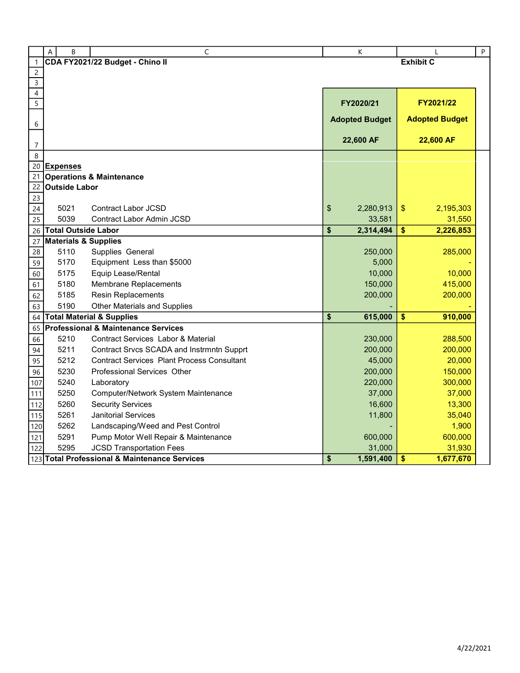|                | A | B                                  | C                                                 | $\sf K$               |                       | $\sf P$ |
|----------------|---|------------------------------------|---------------------------------------------------|-----------------------|-----------------------|---------|
| 1              |   |                                    | CDA FY2021/22 Budget - Chino II                   |                       | <b>Exhibit C</b>      |         |
| $\overline{c}$ |   |                                    |                                                   |                       |                       |         |
| $\overline{3}$ |   |                                    |                                                   |                       |                       |         |
| $\sqrt{4}$     |   |                                    |                                                   |                       |                       |         |
| $\overline{5}$ |   |                                    |                                                   | FY2020/21             | FY2021/22             |         |
| 6              |   |                                    |                                                   | <b>Adopted Budget</b> | <b>Adopted Budget</b> |         |
|                |   |                                    |                                                   |                       |                       |         |
| $\overline{7}$ |   |                                    |                                                   | 22,600 AF             | 22,600 AF             |         |
| 8              |   |                                    |                                                   |                       |                       |         |
| 20             |   | <b>Expenses</b>                    |                                                   |                       |                       |         |
| 21             |   |                                    | <b>Operations &amp; Maintenance</b>               |                       |                       |         |
| 22             |   | <b>Outside Labor</b>               |                                                   |                       |                       |         |
| 23             |   |                                    |                                                   |                       |                       |         |
| 24             |   | 5021                               | Contract Labor JCSD                               | \$<br>2,280,913       | \$<br>2,195,303       |         |
| 25             |   | 5039<br><b>Total Outside Labor</b> | Contract Labor Admin JCSD                         | 33,581                | 31,550                |         |
| 26             |   |                                    | <b>Materials &amp; Supplies</b>                   | \$<br>2,314,494       | \$<br>2,226,853       |         |
| 27<br>28       |   | 5110                               | Supplies General                                  | 250,000               | 285,000               |         |
|                |   | 5170                               | Equipment Less than \$5000                        | 5,000                 |                       |         |
| 59<br>60       |   | 5175                               | Equip Lease/Rental                                | 10,000                | 10,000                |         |
| 61             |   | 5180                               | Membrane Replacements                             | 150,000               | 415,000               |         |
| 62             |   | 5185                               | Resin Replacements                                | 200,000               | 200,000               |         |
| 63             |   | 5190                               | Other Materials and Supplies                      |                       |                       |         |
| 64             |   |                                    | <b>Total Material &amp; Supplies</b>              | \$<br>615,000         | \$<br>910,000         |         |
| 65             |   |                                    | <b>Professional &amp; Maintenance Services</b>    |                       |                       |         |
| 66             |   | 5210                               | Contract Services Labor & Material                | 230,000               | 288,500               |         |
| 94             |   | 5211                               | Contract Srvcs SCADA and Instrmntn Supprt         | 200,000               | 200,000               |         |
| 95             |   | 5212                               | <b>Contract Services Plant Process Consultant</b> | 45,000                | 20,000                |         |
| 96             |   | 5230                               | Professional Services Other                       | 200,000               | 150,000               |         |
| 107            |   | 5240                               | Laboratory                                        | 220,000               | 300,000               |         |
| 111            |   | 5250                               | Computer/Network System Maintenance               | 37,000                | 37,000                |         |
| 112            |   | 5260                               | <b>Security Services</b>                          | 16,600                | 13,300                |         |
| 115            |   | 5261                               | <b>Janitorial Services</b>                        | 11,800                | 35,040                |         |
| 120            |   | 5262                               | Landscaping/Weed and Pest Control                 |                       | 1,900                 |         |
| 121            |   | 5291                               | Pump Motor Well Repair & Maintenance              | 600,000               | 600,000               |         |
| 122            |   | 5295                               | <b>JCSD Transportation Fees</b>                   | 31,000                | 31,930                |         |
|                |   |                                    | 123 Total Professional & Maintenance Services     | \$<br>1,591,400       | \$<br>1,677,670       |         |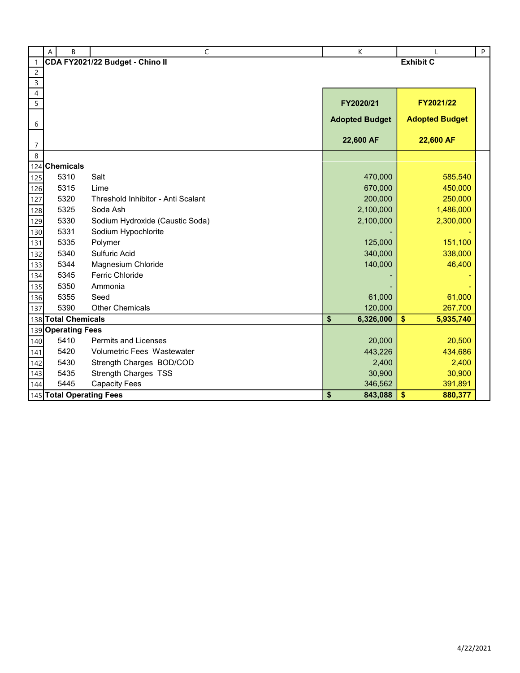|                     | B<br>A                   | $\overline{C}$                     | К                     |                       | $\sf P$ |
|---------------------|--------------------------|------------------------------------|-----------------------|-----------------------|---------|
| $\mathbf{1}$        |                          | CDA FY2021/22 Budget - Chino II    |                       | <b>Exhibit C</b>      |         |
| $\overline{c}$      |                          |                                    |                       |                       |         |
| $\overline{3}$      |                          |                                    |                       |                       |         |
| 4<br>$\overline{5}$ |                          |                                    |                       | FY2021/22             |         |
|                     |                          |                                    | FY2020/21             |                       |         |
| 6                   |                          |                                    | <b>Adopted Budget</b> | <b>Adopted Budget</b> |         |
|                     |                          |                                    |                       |                       |         |
| $\overline{7}$      |                          |                                    | 22,600 AF             | 22,600 AF             |         |
| 8                   |                          |                                    |                       |                       |         |
| 124                 | <b>Chemicals</b>         |                                    |                       |                       |         |
| 125                 | 5310                     | Salt                               | 470,000               | 585,540               |         |
| 126                 | 5315                     | Lime                               | 670,000               | 450,000               |         |
| 127                 | 5320                     | Threshold Inhibitor - Anti Scalant | 200,000               | 250,000               |         |
| 128                 | 5325                     | Soda Ash                           | 2,100,000             | 1,486,000             |         |
| 129                 | 5330                     | Sodium Hydroxide (Caustic Soda)    | 2,100,000             | 2,300,000             |         |
| 130                 | 5331                     | Sodium Hypochlorite                |                       |                       |         |
| 131                 | 5335                     | Polymer                            | 125,000               | 151,100               |         |
| 132                 | 5340                     | <b>Sulfuric Acid</b>               | 340,000               | 338,000               |         |
| 133                 | 5344                     | Magnesium Chloride                 | 140,000               | 46,400                |         |
| 134                 | 5345                     | <b>Ferric Chloride</b>             |                       |                       |         |
| 135                 | 5350                     | Ammonia                            |                       |                       |         |
| 136                 | 5355                     | Seed                               | 61,000                | 61,000                |         |
| 137                 | 5390                     | <b>Other Chemicals</b>             | 120,000               | 267,700               |         |
|                     | 138 Total Chemicals      |                                    | \$<br>6,326,000       | \$<br>5,935,740       |         |
| 139                 | <b>Operating Fees</b>    |                                    |                       |                       |         |
| 140                 | 5410                     | <b>Permits and Licenses</b>        | 20,000                | 20,500                |         |
| 141                 | 5420                     | Volumetric Fees Wastewater         | 443,226               | 434,686               |         |
| 142                 | 5430                     | Strength Charges BOD/COD           | 2,400                 | 2,400                 |         |
| 143                 | 5435                     | <b>Strength Charges TSS</b>        | 30,900                | 30,900                |         |
| 144                 | 5445                     | <b>Capacity Fees</b>               | 346,562               | 391,891               |         |
|                     | 145 Total Operating Fees |                                    | \$<br>843,088         | \$<br>880,377         |         |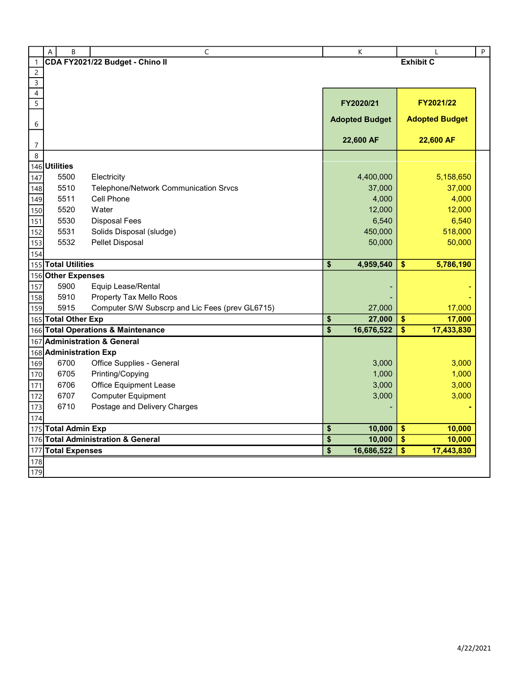|                | А | B                      | C                                               | К                                                  | L                         | $\sf P$ |  |
|----------------|---|------------------------|-------------------------------------------------|----------------------------------------------------|---------------------------|---------|--|
| $\overline{1}$ |   |                        | CDA FY2021/22 Budget - Chino II                 | <b>Exhibit C</b>                                   |                           |         |  |
| $\overline{c}$ |   |                        |                                                 |                                                    |                           |         |  |
| $\mathsf{3}$   |   |                        |                                                 |                                                    |                           |         |  |
| $\overline{4}$ |   |                        |                                                 |                                                    |                           |         |  |
| 5              |   |                        |                                                 | FY2020/21                                          | FY2021/22                 |         |  |
| 6              |   |                        |                                                 | <b>Adopted Budget</b>                              | <b>Adopted Budget</b>     |         |  |
| $\overline{7}$ |   |                        |                                                 | 22,600 AF                                          | 22,600 AF                 |         |  |
| 8              |   |                        |                                                 |                                                    |                           |         |  |
|                |   | 146 Utilities          |                                                 |                                                    |                           |         |  |
| 147            |   | 5500                   | Electricity                                     | 4,400,000                                          | 5,158,650                 |         |  |
| 148            |   | 5510                   | <b>Telephone/Network Communication Srvcs</b>    | 37,000                                             | 37,000                    |         |  |
| 149            |   | 5511                   | Cell Phone                                      | 4,000                                              | 4,000                     |         |  |
| 150            |   | 5520                   | Water                                           | 12,000                                             | 12,000                    |         |  |
| 151            |   | 5530                   | <b>Disposal Fees</b>                            | 6,540                                              | 6,540                     |         |  |
| 152            |   | 5531                   | Solids Disposal (sludge)                        | 450,000                                            | 518,000                   |         |  |
| 153            |   | 5532                   | Pellet Disposal                                 | 50,000                                             | 50,000                    |         |  |
| 154            |   |                        |                                                 |                                                    |                           |         |  |
|                |   | 155 Total Utilities    |                                                 | 4,959,540<br>\$                                    | \$<br>5,786,190           |         |  |
|                |   | 156 Other Expenses     |                                                 |                                                    |                           |         |  |
| 157            |   | 5900                   | Equip Lease/Rental                              |                                                    |                           |         |  |
| 158            |   | 5910                   | Property Tax Mello Roos                         |                                                    |                           |         |  |
| 159            |   | 5915                   | Computer S/W Subscrp and Lic Fees (prev GL6715) | 27,000                                             | 17,000                    |         |  |
|                |   | 165 Total Other Exp    |                                                 | 27,000<br>\$                                       | 17,000<br>\$              |         |  |
|                |   |                        | 166 Total Operations & Maintenance              | $\overline{\boldsymbol{\mathsf{s}}}$<br>16,676,522 | \$<br>17,433,830          |         |  |
| 167            |   |                        | <b>Administration &amp; General</b>             |                                                    |                           |         |  |
|                |   | 168 Administration Exp |                                                 |                                                    |                           |         |  |
| 169            |   | 6700                   | Office Supplies - General                       | 3,000                                              | 3,000                     |         |  |
| 170            |   | 6705                   | Printing/Copying                                | 1,000                                              | 1,000                     |         |  |
| 171            |   | 6706                   | Office Equipment Lease                          | 3,000                                              | 3,000                     |         |  |
| 172            |   | 6707                   | <b>Computer Equipment</b>                       | 3,000                                              | 3,000                     |         |  |
| 173            |   | 6710                   | Postage and Delivery Charges                    |                                                    |                           |         |  |
| 174            |   |                        |                                                 |                                                    |                           |         |  |
|                |   | 175 Total Admin Exp    |                                                 | \$<br>10,000                                       | \$<br>10,000              |         |  |
|                |   |                        | 176 Total Administration & General              | $\overline{\boldsymbol{\mathsf{s}}}$<br>10,000     | $\overline{\$}$<br>10,000 |         |  |
|                |   | 177 Total Expenses     |                                                 | $\overline{\boldsymbol{\mathsf{s}}}$<br>16,686,522 | \$<br>17,443,830          |         |  |
| 178            |   |                        |                                                 |                                                    |                           |         |  |
| 179            |   |                        |                                                 |                                                    |                           |         |  |